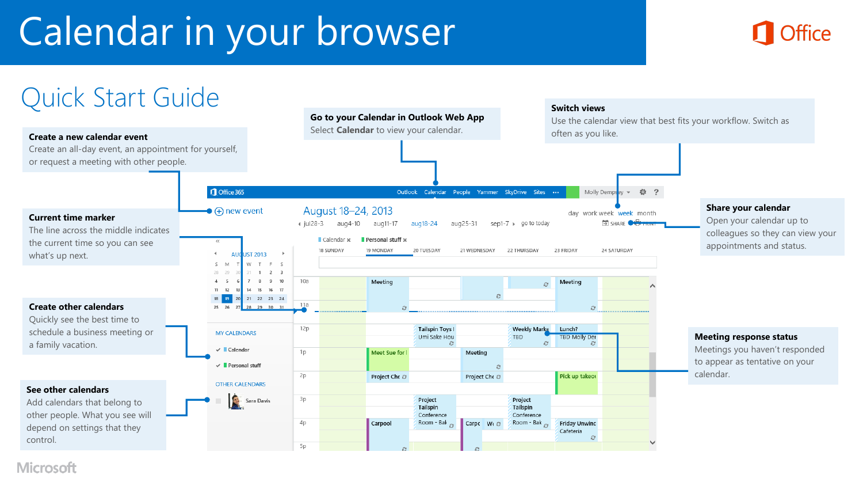# Calendar in your browser





#### **Microsoft**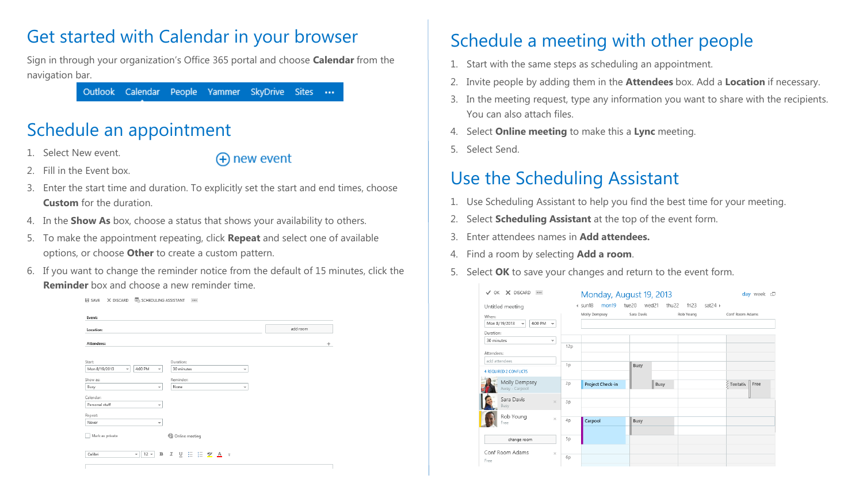### Get started with Calendar in your browser

Sign in through your organization's Office 365 portal and choose **Calendar** from the navigation bar.

Outlook Calendar People Yammer SkyDrive Sites ...

# Schedule an appointment

Select New event.

(+) new event

- 2. Fill in the Event box.
- 3. Enter the start time and duration. To explicitly set the start and end times, choose **Custom** for the duration.
- 4. In the **Show As** box, choose a status that shows your availability to others.
- 5. To make the appointment repeating, click **Repeat** and select one of available options, or choose **Other** to create a custom pattern.
- 6. If you want to change the reminder notice from the default of 15 minutes, click the **Reminder** box and choose a new reminder time.



# Schedule a meeting with other people

- 1. Start with the same steps as scheduling an appointment.
- 2. Invite people by adding them in the **Attendees** box. Add a **Location** if necessary.
- 3. In the meeting request, type any information you want to share with the recipients. You can also attach files.
- 4. Select **Online meeting** to make this a **Lync** meeting.
- 5. Select Send.

# Use the Scheduling Assistant

- 1. Use Scheduling Assistant to help you find the best time for your meeting.
- 2. Select **Scheduling Assistant** at the top of the event form.
- 3. Enter attendees names in **Add attendees.**
- 4. Find a room by selecting **Add a room**.
- 5. Select **OK** to save your changes and return to the event form.

| X DISCARD<br>$\checkmark$<br>OK                                                           |     | Monday, August 19, 2013  |                |                                       | day week $\square$ |
|-------------------------------------------------------------------------------------------|-----|--------------------------|----------------|---------------------------------------|--------------------|
| Untitled meeting                                                                          |     | $4 \cdot$ sun18<br>mon19 | tue20<br>wed21 | sat24 $\rightarrow$<br>thu22<br>fri23 |                    |
| When:<br>Mon 8/19/2013<br>4:00 PM<br>$\overline{\phantom{a}}$<br>$\overline{\phantom{a}}$ |     | Molly Dempsey            | Sara Davis     | Rob Young                             | Conf Room Adams    |
| Duration:                                                                                 |     |                          |                |                                       |                    |
| 30 minutes<br>$\overline{\phantom{a}}$                                                    |     |                          |                |                                       |                    |
| Attendees:                                                                                | 12p |                          |                |                                       |                    |
| add attendees                                                                             | 1p  |                          | <b>Busy</b>    |                                       |                    |
| <b>4 REQUIRED 2 CONFLICTS</b>                                                             |     |                          |                |                                       |                    |
| Molly Dempsey<br>Away - Carpool                                                           | 2p  | Project Check-in         | Busy           |                                       | Free<br>Tentativ   |
| Sara Davis<br>$\mathcal{H}$<br>Busy                                                       | 3p  |                          |                |                                       |                    |
| Rob Young<br>$\times$<br>Free                                                             | 4p  | Carpool                  | <b>Busy</b>    |                                       |                    |
| change room                                                                               | 5p  |                          |                |                                       |                    |
| Conf Room Adams<br>$\mathbf{x}$                                                           | 6p  |                          |                |                                       |                    |
| Free                                                                                      |     |                          |                |                                       |                    |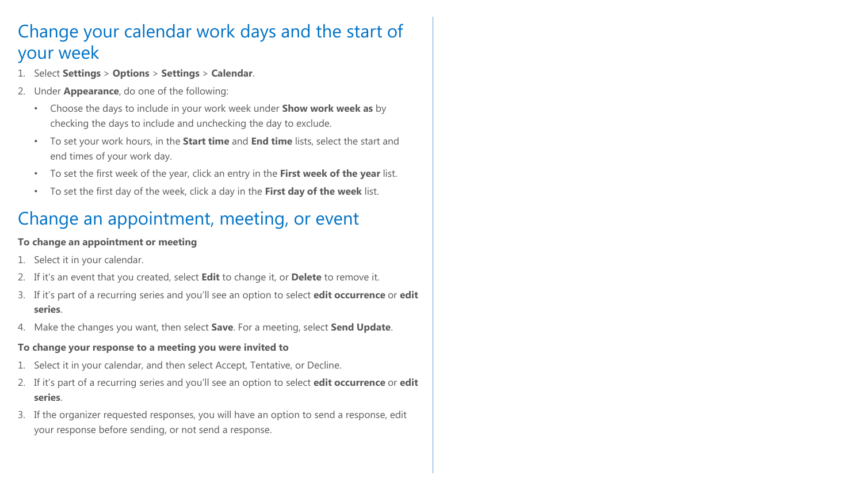## Change your calendar work days and the start of your week

- 1. Select **Settings** > **Options** > **Settings** > **Calendar**.
- 2. Under **Appearance**, do one of the following:
	- Choose the days to include in your work week under **Show work week as** by checking the days to include and unchecking the day to exclude.
	- To set your work hours, in the **Start time** and **End time** lists, select the start and end times of your work day.
	- To set the first week of the year, click an entry in the **First week of the year** list.
	- To set the first day of the week, click a day in the **First day of the week** list.

### Change an appointment, meeting, or event

#### **To change an appointment or meeting**

- 1. Select it in your calendar.
- 2. If it's an event that you created, select **Edit** to change it, or **Delete** to remove it.
- 3. If it's part of a recurring series and you'll see an option to select **edit occurrence** or **edit series**.
- 4. Make the changes you want, then select **Save**. For a meeting, select **Send Update**.
- **To change your response to a meeting you were invited to**
- 1. Select it in your calendar, and then select Accept, Tentative, or Decline.
- 2. If it's part of a recurring series and you'll see an option to select **edit occurrence** or **edit series**.
- 3. If the organizer requested responses, you will have an option to send a response, edit your response before sending, or not send a response.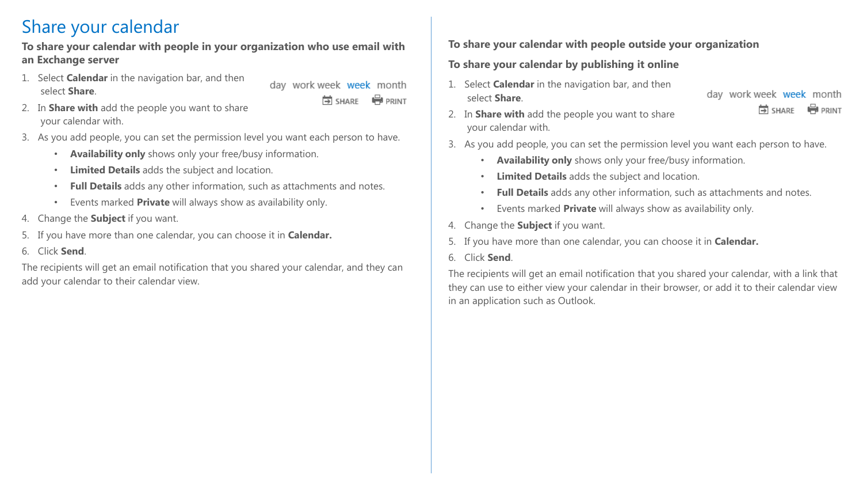### Share your calendar

#### **To share your calendar with people in your organization who use email with an Exchange server**

- 1. Select **Calendar** in the navigation bar, and then select **Share**.
	- day work week week month 岗 SHARE **PRINT**
- 2. In **Share with** add the people you want to share your calendar with.
- 3. As you add people, you can set the permission level you want each person to have.
	- **Availability only** shows only your free/busy information.
	- **Limited Details** adds the subject and location.
	- **Full Details** adds any other information, such as attachments and notes.
	- Events marked **Private** will always show as availability only.
- 4. Change the **Subject** if you want.
- 5. If you have more than one calendar, you can choose it in **Calendar.**
- 6. Click **Send**.

The recipients will get an email notification that you shared your calendar, and they can add your calendar to their calendar view.

#### **To share your calendar with people outside your organization**

#### **To share your calendar by publishing it online**

1. Select **Calendar** in the navigation bar, and then select **Share**.

day work week week month **IFI SHARE PRINT** 

- 2. In **Share with** add the people you want to share your calendar with.
- 3. As you add people, you can set the permission level you want each person to have.
	- **Availability only** shows only your free/busy information.
	- **Limited Details** adds the subject and location.
	- **Full Details** adds any other information, such as attachments and notes.
	- Events marked **Private** will always show as availability only.
- 4. Change the **Subject** if you want.
- 5. If you have more than one calendar, you can choose it in **Calendar.**
- 6. Click **Send**.

The recipients will get an email notification that you shared your calendar, with a link that they can use to either view your calendar in their browser, or add it to their calendar view in an application such as Outlook.